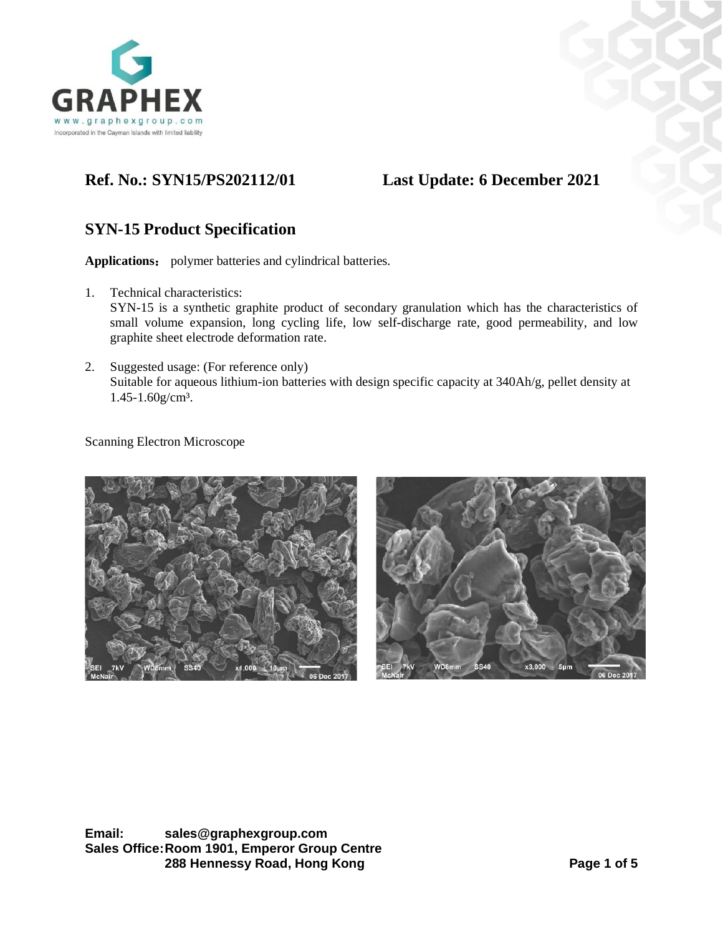

# **Ref. No.: SYN15/PS202112/01 Last Update: 6 December 2021**

# **SYN-15 Product Specification**

**Applications**: polymer batteries and cylindrical batteries.

- 1. Technical characteristics: SYN-15 is a synthetic graphite product of secondary granulation which has the characteristics of small volume expansion, long cycling life, low self-discharge rate, good permeability, and low graphite sheet electrode deformation rate.
- 2. Suggested usage: (For reference only) Suitable for aqueous lithium-ion batteries with design specific capacity at 340Ah/g, pellet density at 1.45-1.60g/cm³.

Scanning Electron Microscope

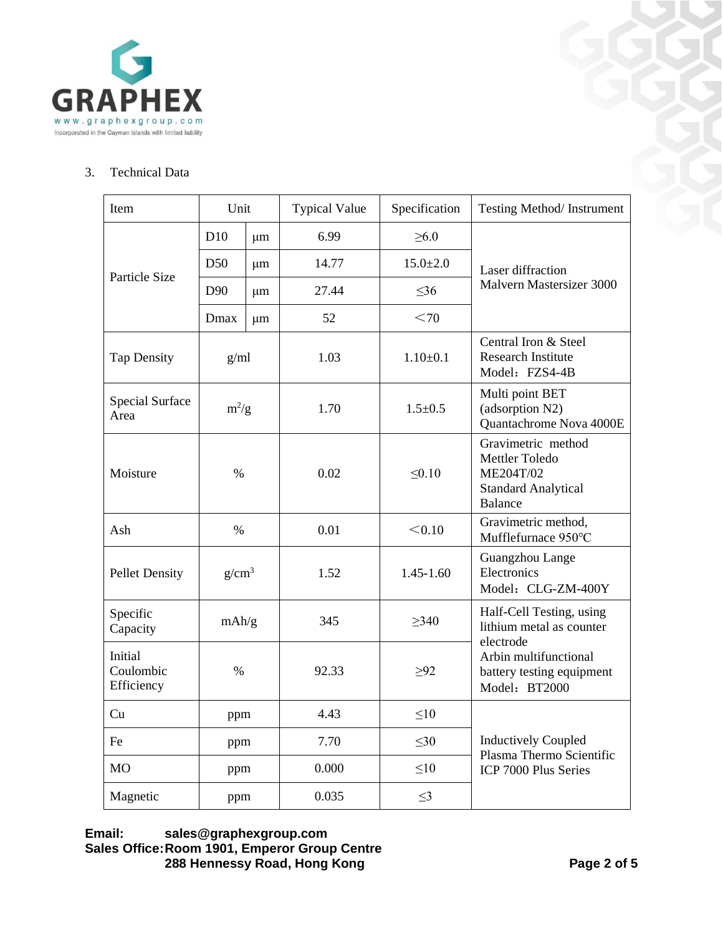

# 3. Technical Data

| Item                                       | Unit                       |       | <b>Typical Value</b> | Specification                                                       | Testing Method/Instrument                                                                         |  |
|--------------------------------------------|----------------------------|-------|----------------------|---------------------------------------------------------------------|---------------------------------------------------------------------------------------------------|--|
|                                            | D10<br>μm                  |       | 6.99                 | $\geq 6.0$                                                          |                                                                                                   |  |
|                                            | D50<br>μm                  |       | 14.77                | $15.0 \pm 2.0$                                                      | Laser diffraction                                                                                 |  |
| Particle Size                              | D <sub>90</sub><br>$\mu$ m |       | 27.44                | $\leq$ 36                                                           | Malvern Mastersizer 3000                                                                          |  |
|                                            | Dmax                       | μm    | 52                   | < 70                                                                |                                                                                                   |  |
| <b>Tap Density</b>                         | g/ml                       |       | 1.03                 | $1.10+0.1$                                                          | Central Iron & Steel<br><b>Research Institute</b><br>Model: FZS4-4B                               |  |
| <b>Special Surface</b><br>Area             | $m^2/g$                    |       | 1.70                 | $1.5 \pm 0.5$                                                       | Multi point BET<br>(adsorption N2)<br>Quantachrome Nova 4000E                                     |  |
| Moisture                                   | $\%$                       |       | 0.02                 | $\leq 0.10$                                                         | Gravimetric method<br>Mettler Toledo<br>ME204T/02<br><b>Standard Analytical</b><br><b>Balance</b> |  |
| Ash                                        | $\%$                       |       | 0.01                 | < 0.10                                                              | Gravimetric method,<br>Mufflefurnace 950°C                                                        |  |
| <b>Pellet Density</b>                      | g/cm <sup>3</sup>          |       | 1.52                 | $1.45 - 1.60$                                                       | Guangzhou Lange<br>Electronics<br>Model: CLG-ZM-400Y                                              |  |
| Specific<br>Capacity                       | mAh/g                      |       | 345                  | >340                                                                | Half-Cell Testing, using<br>lithium metal as counter<br>electrode                                 |  |
| Initial<br>Coulombic<br>$\%$<br>Efficiency |                            | 92.33 | $\geq 92$            | Arbin multifunctional<br>battery testing equipment<br>Model: BT2000 |                                                                                                   |  |
| Cu                                         | ppm                        |       | 4.43                 | $\leq10$                                                            |                                                                                                   |  |
| Fe                                         | ppm                        |       | 7.70                 | $\leq 30$                                                           | <b>Inductively Coupled</b><br>Plasma Thermo Scientific                                            |  |
| <b>MO</b>                                  | ppm                        |       | 0.000                | $\leq10$                                                            | ICP 7000 Plus Series                                                                              |  |
| Magnetic                                   | ppm                        |       | 0.035                | $\leq$ 3                                                            |                                                                                                   |  |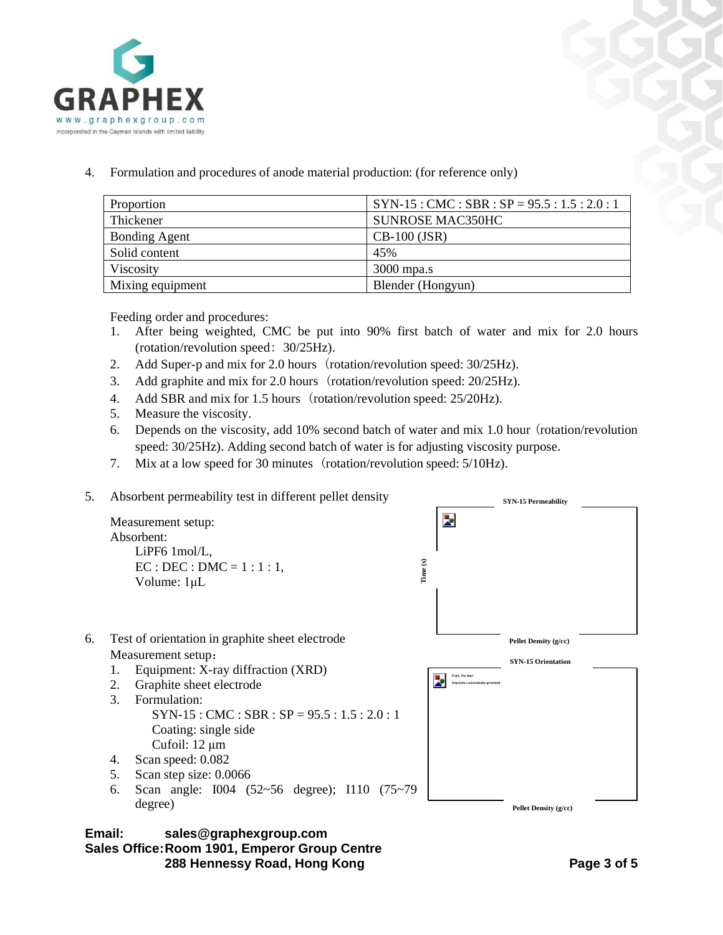

4. Formulation and procedures of anode material production: (for reference only)

| Proportion           | $SYN-15:CMC: SBR: SP = 95.5:1.5:2.0:1$ |  |  |
|----------------------|----------------------------------------|--|--|
| Thickener            | <b>SUNROSE MAC350HC</b>                |  |  |
| <b>Bonding Agent</b> | $CB-100$ (JSR)                         |  |  |
| Solid content        | 45%                                    |  |  |
| Viscosity            | $3000$ mpa.s                           |  |  |
| Mixing equipment     | Blender (Hongyun)                      |  |  |

Feeding order and procedures:

- 1. After being weighted, CMC be put into 90% first batch of water and mix for 2.0 hours (rotation/revolution speed: 30/25Hz).
- 2. Add Super-p and mix for 2.0 hours (rotation/revolution speed: 30/25Hz).
- 3. Add graphite and mix for 2.0 hours (rotation/revolution speed: 20/25Hz).
- 4. Add SBR and mix for 1.5 hours (rotation/revolution speed: 25/20Hz).
- 5. Measure the viscosity.
- 6. Depends on the viscosity, add 10% second batch of water and mix 1.0 hour (rotation/revolution speed: 30/25Hz). Adding second batch of water is for adjusting viscosity purpose.
- 7. Mix at a low speed for 30 minutes (rotation/revolution speed: 5/10Hz).
- 5. Absorbent permeability test in different pellet density

Þ Measurement setup: Absorbent: LiPF6 1mol/L, **Time (s)**  $EC : DEC : DMC = 1 : 1 : 1$ , Volume: 1μL 6. Test of orientation in graphite sheet electrode **Pellet Density (g/cc)** Measurement setup: **SYN-15 Orientation** 1. Equipment: X-ray diffraction (XRD) .<br>Chart, line chart Þ. 2. Graphite sheet electrode 3. Formulation:  $SYN-15 : CMC : SBR : SP = 95.5 : 1.5 : 2.0 : 1$ Coating: single side Cufoil: 12 μm

- 4. Scan speed: 0.082
- 5. Scan step size: 0.0066
- 6. Scan angle: I004 (52~56 degree); I110 (75~79 degree)





**SYN-15 Permeability**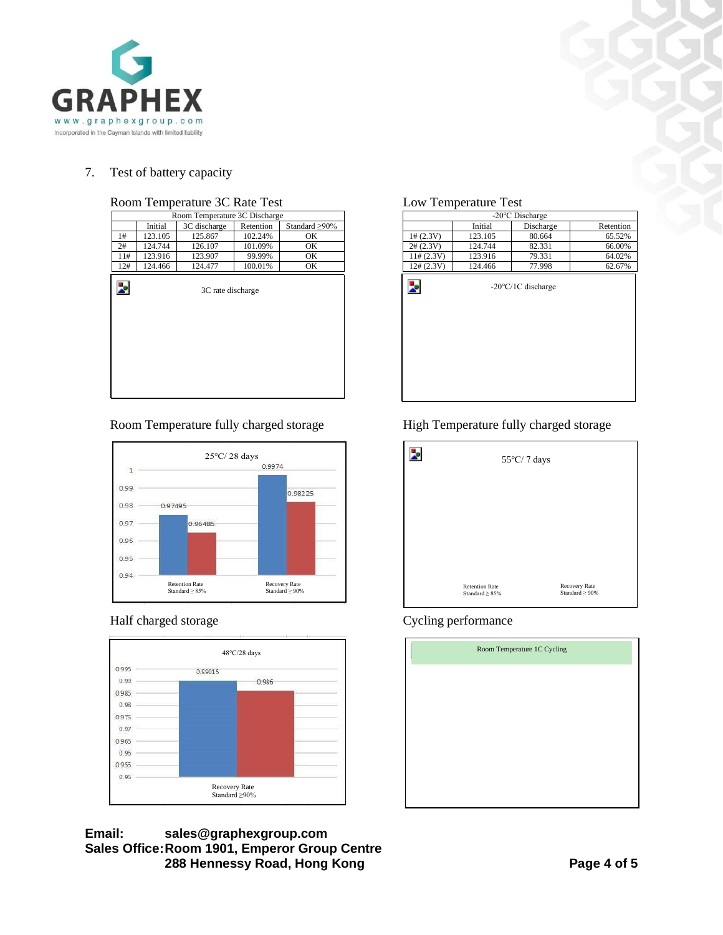

# 7. Test of battery capacity

|     |         | Room Temperature 3C Discharge |           |                      |                          | -20°C Discharge |                  |
|-----|---------|-------------------------------|-----------|----------------------|--------------------------|-----------------|------------------|
|     | Initial | 3C discharge                  | Retention | Standard $\geq 90\%$ |                          | Initial         | Discha           |
| 1#  | 123.105 | 125.867                       | 102.24%   | OK                   | 1# (2.3V)                | 123.105         | 80.66            |
| 2#  | 124.744 | 126.107                       | 101.09%   | OK                   | 2# (2.3V)                | 124.744         | 82.33            |
| 11# | 123.916 | 123.907                       | 99.99%    | OK                   | 11# (2.3V)               | 123.916         | 79.33            |
| 12# | 124.466 | 124.477                       | 100.01%   | OK                   | $12\# (2.3V)$            | 124.466         | 77.99            |
| Þ,  |         | 3C rate discharge             |           |                      | $\overline{\phantom{a}}$ |                 | -20°C/1C dischar |

# Room Temperature 3C Rate Test Low Temperature Test

## Room Temperature fully charged storage High Temperature fully charged storage





### **Email: sales@graphexgroup.com Sales Office:Room 1901, Emperor Group Centre 288 Hennessy Road, Hong Kong Page 4 of 5**

| Room Temperature 3C Discharge |         |                   |           |                      |               |         | -20°C Discharge              |           |
|-------------------------------|---------|-------------------|-----------|----------------------|---------------|---------|------------------------------|-----------|
|                               | Initial | 3C discharge      | Retention | Standard $\geq 90\%$ |               | Initial | Discharge                    | Retention |
| 1#                            | 123.105 | 125.867           | 102.24%   | OK                   | 1# (2.3V)     | 123.105 | 80.664                       | 65.52%    |
| 2#                            | 124.744 | 126.107           | 101.09%   | OK                   | $2\# (2.3V)$  | 124.744 | 82.331                       | 66.00%    |
| 11#                           | 123.916 | 123.907           | 99.99%    | OK                   | 11# (2.3V)    | 123.916 | 79.331                       | 64.02%    |
| 12#                           | 124.466 | 124.477           | 100.01%   | OK                   | $12\# (2.3V)$ | 124.466 | 77.998                       | 62.67%    |
| Þ                             |         | 3C rate discharge |           |                      | Z.            |         | $-20^{\circ}$ C/1C discharge |           |

| $55^{\circ}\textrm{C}/$ 7 days                |                                      |  |  |  |
|-----------------------------------------------|--------------------------------------|--|--|--|
|                                               |                                      |  |  |  |
|                                               |                                      |  |  |  |
|                                               |                                      |  |  |  |
| <b>Retention Rate</b><br>Standard $\geq 85\%$ | Recovery Rate<br>Standard $\geq$ 90% |  |  |  |

### Half charged storage Cycling performance